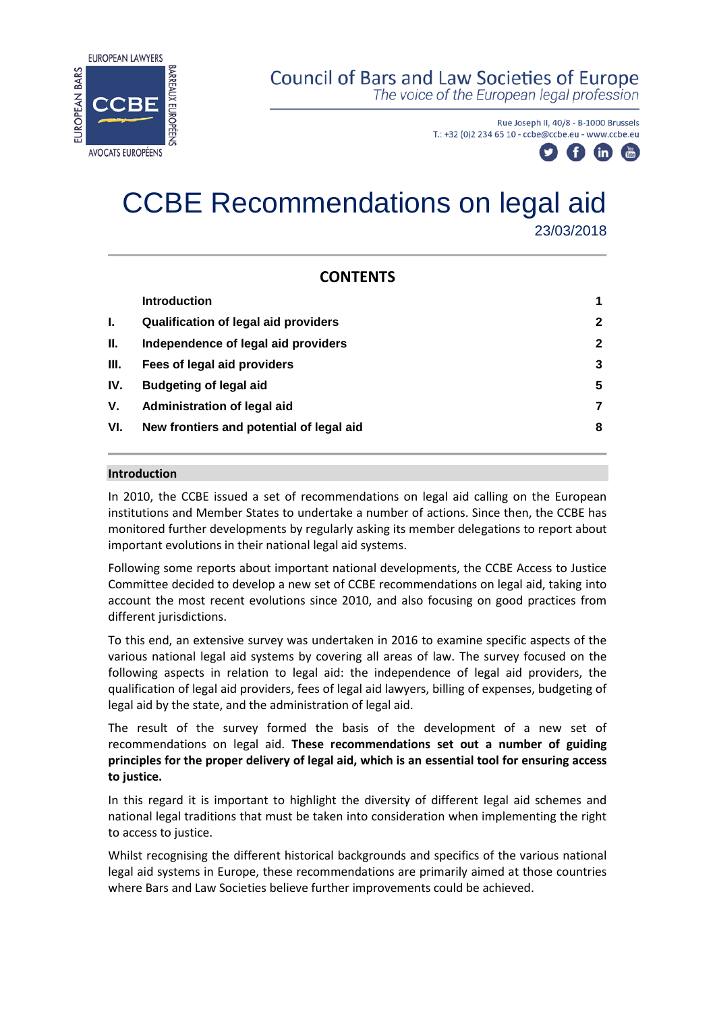

# **Council of Bars and Law Societies of Europe**

The voice of the European legal profession

Rue Joseph II, 40/8 - B-1000 Brussels T.: +32 (0)2 234 65 10 - ccbe@ccbe.eu - www.ccbe.eu



# CCBE Recommendations on legal aid 23/03/2018

# **CONTENTS**

|      | <b>Introduction</b>                         | 1           |
|------|---------------------------------------------|-------------|
| Ъ.   | <b>Qualification of legal aid providers</b> | 2           |
| H.   | Independence of legal aid providers         | $\mathbf 2$ |
| III. | Fees of legal aid providers                 | 3           |
| IV.  | <b>Budgeting of legal aid</b>               | 5           |
| V.   | <b>Administration of legal aid</b>          | 7           |
| VI.  | New frontiers and potential of legal aid    | 8           |
|      |                                             |             |

# <span id="page-0-0"></span>**Introduction**

In 2010, the CCBE issued a set of recommendations on legal aid calling on the European institutions and Member States to undertake a number of actions. Since then, the CCBE has monitored further developments by regularly asking its member delegations to report about important evolutions in their national legal aid systems.

Following some reports about important national developments, the CCBE Access to Justice Committee decided to develop a new set of CCBE recommendations on legal aid, taking into account the most recent evolutions since 2010, and also focusing on good practices from different jurisdictions.

To this end, an extensive survey was undertaken in 2016 to examine specific aspects of the various national legal aid systems by covering all areas of law. The survey focused on the following aspects in relation to legal aid: the independence of legal aid providers, the qualification of legal aid providers, fees of legal aid lawyers, billing of expenses, budgeting of legal aid by the state, and the administration of legal aid.

The result of the survey formed the basis of the development of a new set of recommendations on legal aid. **These recommendations set out a number of guiding principles for the proper delivery of legal aid, which is an essential tool for ensuring access to justice.**

In this regard it is important to highlight the diversity of different legal aid schemes and national legal traditions that must be taken into consideration when implementing the right to access to justice.

Whilst recognising the different historical backgrounds and specifics of the various national legal aid systems in Europe, these recommendations are primarily aimed at those countries where Bars and Law Societies believe further improvements could be achieved.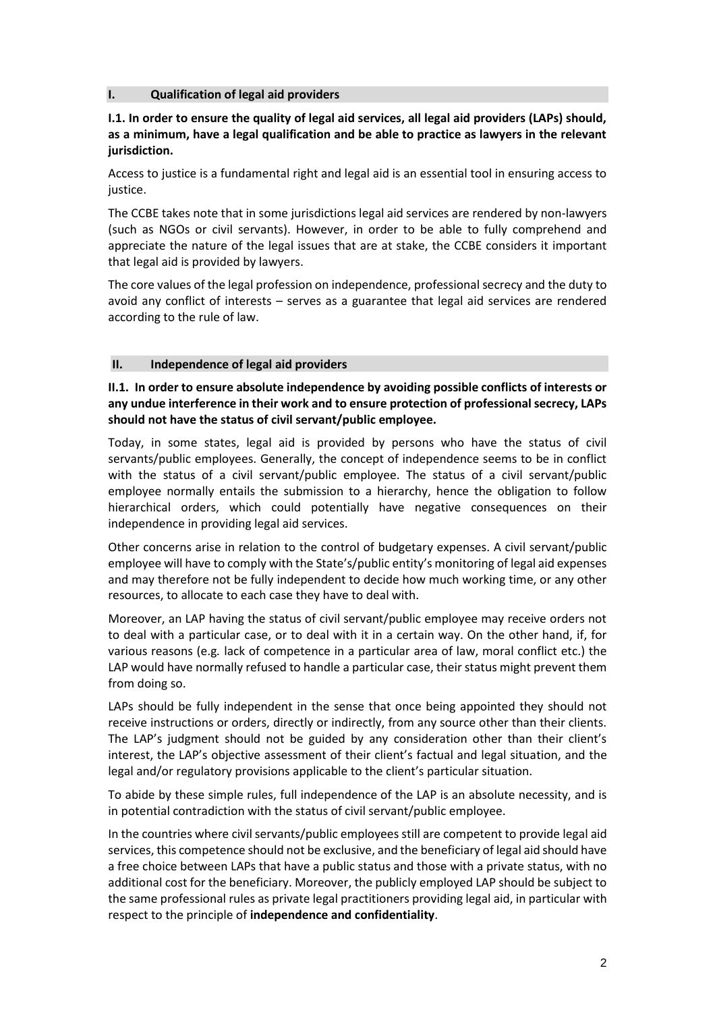#### <span id="page-1-0"></span>**I. Qualification of legal aid providers**

**I.1. In order to ensure the quality of legal aid services, all legal aid providers (LAPs) should, as a minimum, have a legal qualification and be able to practice as lawyers in the relevant jurisdiction.** 

Access to justice is a fundamental right and legal aid is an essential tool in ensuring access to justice.

The CCBE takes note that in some jurisdictions legal aid services are rendered by non-lawyers (such as NGOs or civil servants). However, in order to be able to fully comprehend and appreciate the nature of the legal issues that are at stake, the CCBE considers it important that legal aid is provided by lawyers.

The core values of the legal profession on independence, professional secrecy and the duty to avoid any conflict of interests – serves as a guarantee that legal aid services are rendered according to the rule of law.

#### <span id="page-1-1"></span>**II. Independence of legal aid providers**

**II.1. In order to ensure absolute independence by avoiding possible conflicts of interests or any undue interference in their work and to ensure protection of professional secrecy, LAPs should not have the status of civil servant/public employee.**

Today, in some states, legal aid is provided by persons who have the status of civil servants/public employees. Generally, the concept of independence seems to be in conflict with the status of a civil servant/public employee. The status of a civil servant/public employee normally entails the submission to a hierarchy, hence the obligation to follow hierarchical orders, which could potentially have negative consequences on their independence in providing legal aid services.

Other concerns arise in relation to the control of budgetary expenses. A civil servant/public employee will have to comply with the State's/public entity's monitoring of legal aid expenses and may therefore not be fully independent to decide how much working time, or any other resources, to allocate to each case they have to deal with.

Moreover, an LAP having the status of civil servant/public employee may receive orders not to deal with a particular case, or to deal with it in a certain way. On the other hand, if, for various reasons (e.g*.* lack of competence in a particular area of law, moral conflict etc.) the LAP would have normally refused to handle a particular case, their status might prevent them from doing so.

LAPs should be fully independent in the sense that once being appointed they should not receive instructions or orders, directly or indirectly, from any source other than their clients. The LAP's judgment should not be guided by any consideration other than their client's interest, the LAP's objective assessment of their client's factual and legal situation, and the legal and/or regulatory provisions applicable to the client's particular situation.

To abide by these simple rules, full independence of the LAP is an absolute necessity, and is in potential contradiction with the status of civil servant/public employee.

In the countries where civil servants/public employees still are competent to provide legal aid services, this competence should not be exclusive, and the beneficiary of legal aid should have a free choice between LAPs that have a public status and those with a private status, with no additional cost for the beneficiary. Moreover, the publicly employed LAP should be subject to the same professional rules as private legal practitioners providing legal aid, in particular with respect to the principle of **independence and confidentiality**.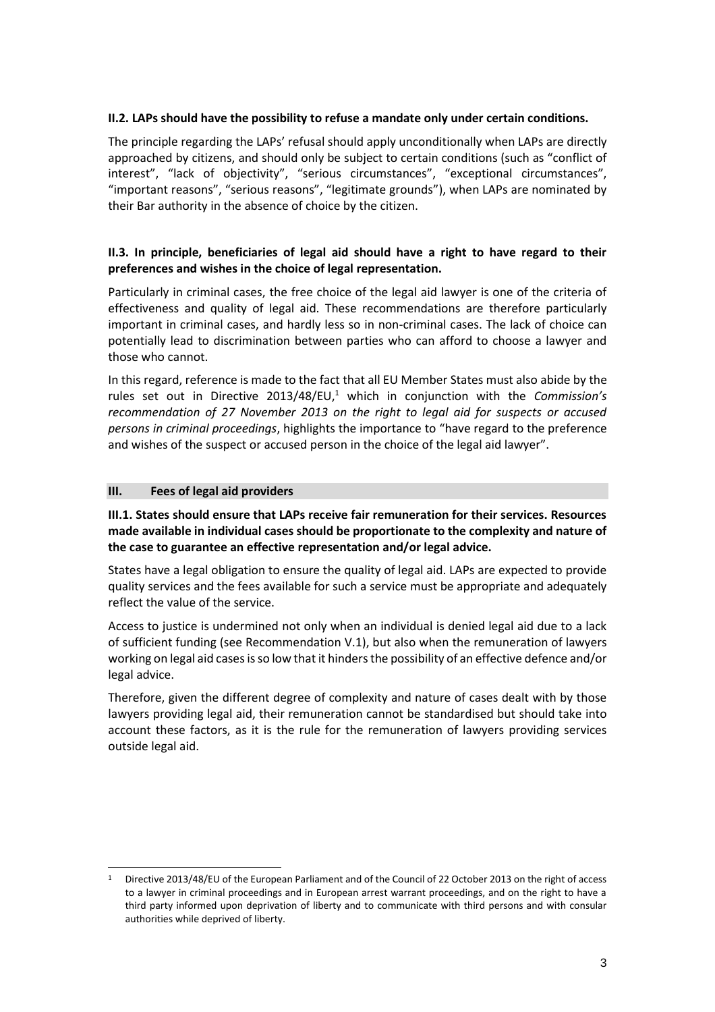#### **II.2. LAPs should have the possibility to refuse a mandate only under certain conditions.**

The principle regarding the LAPs' refusal should apply unconditionally when LAPs are directly approached by citizens, and should only be subject to certain conditions (such as "conflict of interest", "lack of objectivity", "serious circumstances", "exceptional circumstances", "important reasons", "serious reasons", "legitimate grounds"), when LAPs are nominated by their Bar authority in the absence of choice by the citizen.

# **II.3. In principle, beneficiaries of legal aid should have a right to have regard to their preferences and wishes in the choice of legal representation.**

Particularly in criminal cases, the free choice of the legal aid lawyer is one of the criteria of effectiveness and quality of legal aid. These recommendations are therefore particularly important in criminal cases, and hardly less so in non-criminal cases. The lack of choice can potentially lead to discrimination between parties who can afford to choose a lawyer and those who cannot.

In this regard, reference is made to the fact that all EU Member States must also abide by the rules set out in Directive 2013/48/EU,<sup>1</sup> which in conjunction with the *Commission's recommendation of 27 November 2013 on the right to legal aid for suspects or accused persons in criminal proceedings*, highlights the importance to "have regard to the preference and wishes of the suspect or accused person in the choice of the legal aid lawyer".

#### <span id="page-2-0"></span>**III. Fees of legal aid providers**

l

**III.1. States should ensure that LAPs receive fair remuneration for their services. Resources made available in individual cases should be proportionate to the complexity and nature of the case to guarantee an effective representation and/or legal advice.**

States have a legal obligation to ensure the quality of legal aid. LAPs are expected to provide quality services and the fees available for such a service must be appropriate and adequately reflect the value of the service.

Access to justice is undermined not only when an individual is denied legal aid due to a lack of sufficient funding (see Recommendation V.1), but also when the remuneration of lawyers working on legal aid cases is so low that it hinders the possibility of an effective defence and/or legal advice.

Therefore, given the different degree of complexity and nature of cases dealt with by those lawyers providing legal aid, their remuneration cannot be standardised but should take into account these factors, as it is the rule for the remuneration of lawyers providing services outside legal aid.

<sup>&</sup>lt;sup>1</sup> Directive 2013/48/EU of the European Parliament and of the Council of 22 October 2013 on the right of access to a lawyer in criminal proceedings and in European arrest warrant proceedings, and on the right to have a third party informed upon deprivation of liberty and to communicate with third persons and with consular authorities while deprived of liberty.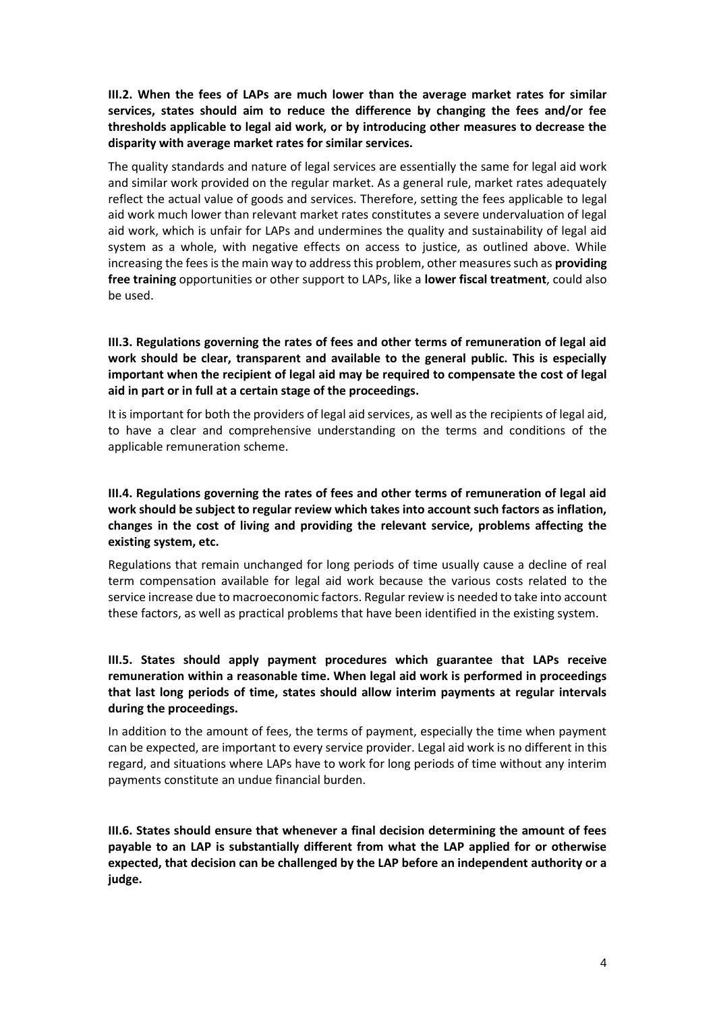**III.2. When the fees of LAPs are much lower than the average market rates for similar services, states should aim to reduce the difference by changing the fees and/or fee thresholds applicable to legal aid work, or by introducing other measures to decrease the disparity with average market rates for similar services.**

The quality standards and nature of legal services are essentially the same for legal aid work and similar work provided on the regular market. As a general rule, market rates adequately reflect the actual value of goods and services. Therefore, setting the fees applicable to legal aid work much lower than relevant market rates constitutes a severe undervaluation of legal aid work, which is unfair for LAPs and undermines the quality and sustainability of legal aid system as a whole, with negative effects on access to justice, as outlined above. While increasing the fees is the main way to address this problem, other measures such as **providing free training** opportunities or other support to LAPs, like a **lower fiscal treatment**, could also be used.

#### **III.3. Regulations governing the rates of fees and other terms of remuneration of legal aid work should be clear, transparent and available to the general public. This is especially important when the recipient of legal aid may be required to compensate the cost of legal aid in part or in full at a certain stage of the proceedings.**

It is important for both the providers of legal aid services, as well as the recipients of legal aid, to have a clear and comprehensive understanding on the terms and conditions of the applicable remuneration scheme.

# **III.4. Regulations governing the rates of fees and other terms of remuneration of legal aid work should be subject to regular review which takes into account such factors as inflation, changes in the cost of living and providing the relevant service, problems affecting the existing system, etc.**

Regulations that remain unchanged for long periods of time usually cause a decline of real term compensation available for legal aid work because the various costs related to the service increase due to macroeconomic factors. Regular review is needed to take into account these factors, as well as practical problems that have been identified in the existing system.

# **III.5. States should apply payment procedures which guarantee that LAPs receive remuneration within a reasonable time. When legal aid work is performed in proceedings that last long periods of time, states should allow interim payments at regular intervals during the proceedings.**

In addition to the amount of fees, the terms of payment, especially the time when payment can be expected, are important to every service provider. Legal aid work is no different in this regard, and situations where LAPs have to work for long periods of time without any interim payments constitute an undue financial burden.

**III.6. States should ensure that whenever a final decision determining the amount of fees payable to an LAP is substantially different from what the LAP applied for or otherwise expected, that decision can be challenged by the LAP before an independent authority or a judge.**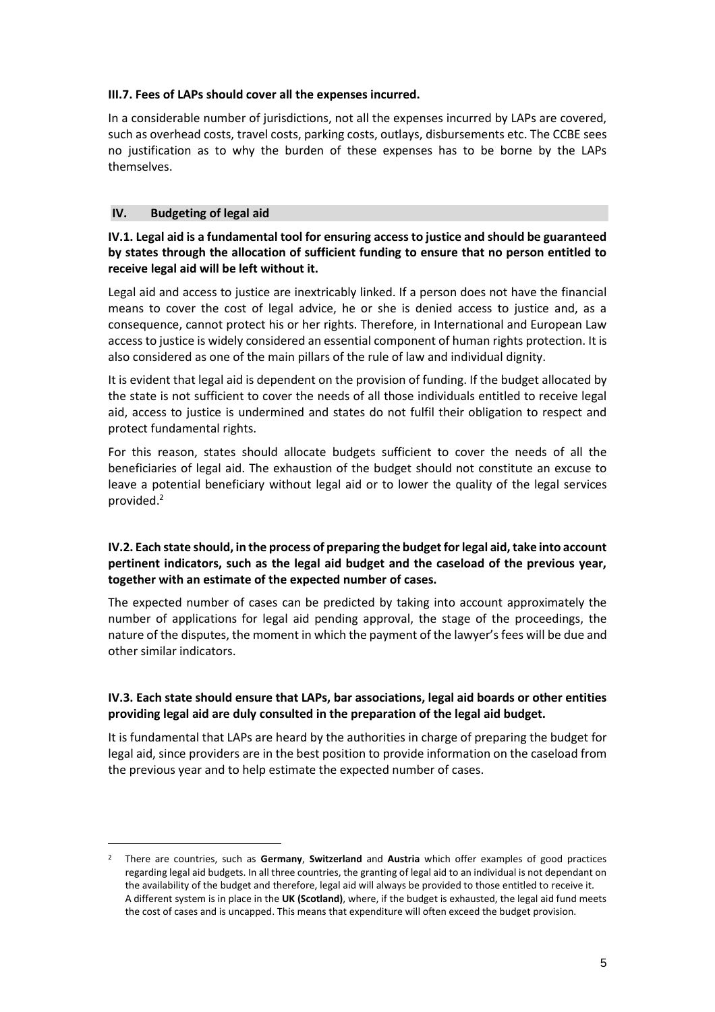#### **III.7. Fees of LAPs should cover all the expenses incurred.**

In a considerable number of jurisdictions, not all the expenses incurred by LAPs are covered, such as overhead costs, travel costs, parking costs, outlays, disbursements etc. The CCBE sees no justification as to why the burden of these expenses has to be borne by the LAPs themselves.

#### <span id="page-4-0"></span>**IV. Budgeting of legal aid**

l

#### **IV.1. Legal aid is a fundamental tool for ensuring access to justice and should be guaranteed by states through the allocation of sufficient funding to ensure that no person entitled to receive legal aid will be left without it.**

Legal aid and access to justice are inextricably linked. If a person does not have the financial means to cover the cost of legal advice, he or she is denied access to justice and, as a consequence, cannot protect his or her rights. Therefore, in International and European Law access to justice is widely considered an essential component of human rights protection. It is also considered as one of the main pillars of the rule of law and individual dignity.

It is evident that legal aid is dependent on the provision of funding. If the budget allocated by the state is not sufficient to cover the needs of all those individuals entitled to receive legal aid, access to justice is undermined and states do not fulfil their obligation to respect and protect fundamental rights.

For this reason, states should allocate budgets sufficient to cover the needs of all the beneficiaries of legal aid. The exhaustion of the budget should not constitute an excuse to leave a potential beneficiary without legal aid or to lower the quality of the legal services provided.<sup>2</sup>

# **IV.2. Each state should, in the process of preparing the budget for legal aid, take into account pertinent indicators, such as the legal aid budget and the caseload of the previous year, together with an estimate of the expected number of cases.**

The expected number of cases can be predicted by taking into account approximately the number of applications for legal aid pending approval, the stage of the proceedings, the nature of the disputes, the moment in which the payment of the lawyer's fees will be due and other similar indicators.

# **IV.3. Each state should ensure that LAPs, bar associations, legal aid boards or other entities providing legal aid are duly consulted in the preparation of the legal aid budget.**

It is fundamental that LAPs are heard by the authorities in charge of preparing the budget for legal aid, since providers are in the best position to provide information on the caseload from the previous year and to help estimate the expected number of cases.

<sup>2</sup> There are countries, such as **Germany**, **Switzerland** and **Austria** which offer examples of good practices regarding legal aid budgets. In all three countries, the granting of legal aid to an individual is not dependant on the availability of the budget and therefore, legal aid will always be provided to those entitled to receive it. A different system is in place in the **UK (Scotland)**, where, if the budget is exhausted, the legal aid fund meets the cost of cases and is uncapped. This means that expenditure will often exceed the budget provision.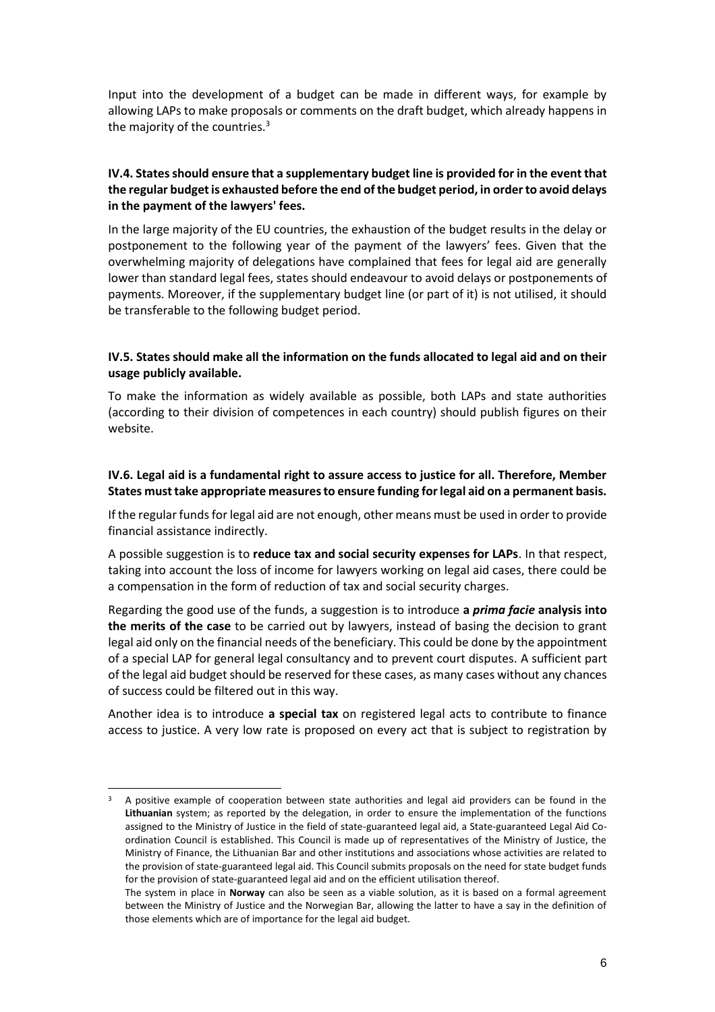Input into the development of a budget can be made in different ways, for example by allowing LAPs to make proposals or comments on the draft budget, which already happens in the majority of the countries. $3$ 

# **IV.4. States should ensure that a supplementary budget line is provided for in the event that the regular budget is exhausted before the end of the budget period, in order to avoid delays in the payment of the lawyers' fees.**

In the large majority of the EU countries, the exhaustion of the budget results in the delay or postponement to the following year of the payment of the lawyers' fees. Given that the overwhelming majority of delegations have complained that fees for legal aid are generally lower than standard legal fees, states should endeavour to avoid delays or postponements of payments. Moreover, if the supplementary budget line (or part of it) is not utilised, it should be transferable to the following budget period.

#### **IV.5. States should make all the information on the funds allocated to legal aid and on their usage publicly available.**

To make the information as widely available as possible, both LAPs and state authorities (according to their division of competences in each country) should publish figures on their website.

# **IV.6. Legal aid is a fundamental right to assure access to justice for all. Therefore, Member States must take appropriate measures to ensure funding for legal aid on a permanent basis.**

If the regular funds for legal aid are not enough, other means must be used in order to provide financial assistance indirectly.

A possible suggestion is to **reduce tax and social security expenses for LAPs**. In that respect, taking into account the loss of income for lawyers working on legal aid cases, there could be a compensation in the form of reduction of tax and social security charges.

Regarding the good use of the funds, a suggestion is to introduce **a** *prima facie* **analysis into the merits of the case** to be carried out by lawyers, instead of basing the decision to grant legal aid only on the financial needs of the beneficiary. This could be done by the appointment of a special LAP for general legal consultancy and to prevent court disputes. A sufficient part of the legal aid budget should be reserved for these cases, as many cases without any chances of success could be filtered out in this way.

Another idea is to introduce **a special tax** on registered legal acts to contribute to finance access to justice. A very low rate is proposed on every act that is subject to registration by

l

<sup>&</sup>lt;sup>3</sup> A positive example of cooperation between state authorities and legal aid providers can be found in the **Lithuanian** system; as reported by the delegation, in order to ensure the implementation of the functions assigned to the Ministry of Justice in the field of state-guaranteed legal aid, a State-guaranteed Legal Aid Coordination Council is established. This Council is made up of representatives of the Ministry of Justice, the Ministry of Finance, the Lithuanian Bar and other institutions and associations whose activities are related to the provision of state-guaranteed legal aid. This Council submits proposals on the need for state budget funds for the provision of state-guaranteed legal aid and on the efficient utilisation thereof.

The system in place in **Norway** can also be seen as a viable solution, as it is based on a formal agreement between the Ministry of Justice and the Norwegian Bar, allowing the latter to have a say in the definition of those elements which are of importance for the legal aid budget.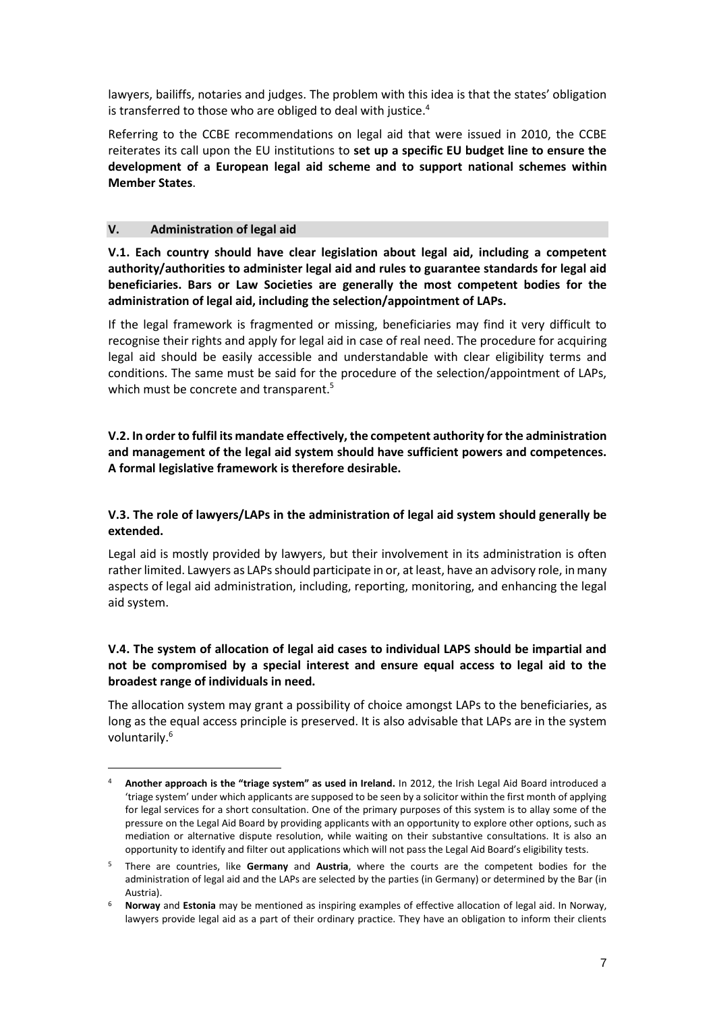lawyers, bailiffs, notaries and judges. The problem with this idea is that the states' obligation is transferred to those who are obliged to deal with justice.<sup>4</sup>

Referring to the CCBE recommendations on legal aid that were issued in 2010, the CCBE reiterates its call upon the EU institutions to **set up a specific EU budget line to ensure the development of a European legal aid scheme and to support national schemes within Member States**.

#### <span id="page-6-0"></span>**V. Administration of legal aid**

l

**V.1. Each country should have clear legislation about legal aid, including a competent authority/authorities to administer legal aid and rules to guarantee standards for legal aid beneficiaries. Bars or Law Societies are generally the most competent bodies for the administration of legal aid, including the selection/appointment of LAPs.**

If the legal framework is fragmented or missing, beneficiaries may find it very difficult to recognise their rights and apply for legal aid in case of real need. The procedure for acquiring legal aid should be easily accessible and understandable with clear eligibility terms and conditions. The same must be said for the procedure of the selection/appointment of LAPs, which must be concrete and transparent.<sup>5</sup>

# **V.2. In order to fulfil its mandate effectively, the competent authority for the administration and management of the legal aid system should have sufficient powers and competences. A formal legislative framework is therefore desirable.**

#### **V.3. The role of lawyers/LAPs in the administration of legal aid system should generally be extended.**

Legal aid is mostly provided by lawyers, but their involvement in its administration is often rather limited. Lawyers as LAPs should participate in or, at least, have an advisory role, in many aspects of legal aid administration, including, reporting, monitoring, and enhancing the legal aid system.

#### **V.4. The system of allocation of legal aid cases to individual LAPS should be impartial and not be compromised by a special interest and ensure equal access to legal aid to the broadest range of individuals in need.**

The allocation system may grant a possibility of choice amongst LAPs to the beneficiaries, as long as the equal access principle is preserved. It is also advisable that LAPs are in the system voluntarily.<sup>6</sup>

<sup>4</sup> **Another approach is the "triage system" as used in Ireland.** In 2012, the Irish Legal Aid Board introduced a 'triage system' under which applicants are supposed to be seen by a solicitor within the first month of applying for legal services for a short consultation. One of the primary purposes of this system is to allay some of the pressure on the Legal Aid Board by providing applicants with an opportunity to explore other options, such as mediation or alternative dispute resolution, while waiting on their substantive consultations. It is also an opportunity to identify and filter out applications which will not pass the Legal Aid Board's eligibility tests.

<sup>5</sup> There are countries, like **Germany** and **Austria**, where the courts are the competent bodies for the administration of legal aid and the LAPs are selected by the parties (in Germany) or determined by the Bar (in Austria).

<sup>6</sup> **Norway** and **Estonia** may be mentioned as inspiring examples of effective allocation of legal aid. In Norway, lawyers provide legal aid as a part of their ordinary practice. They have an obligation to inform their clients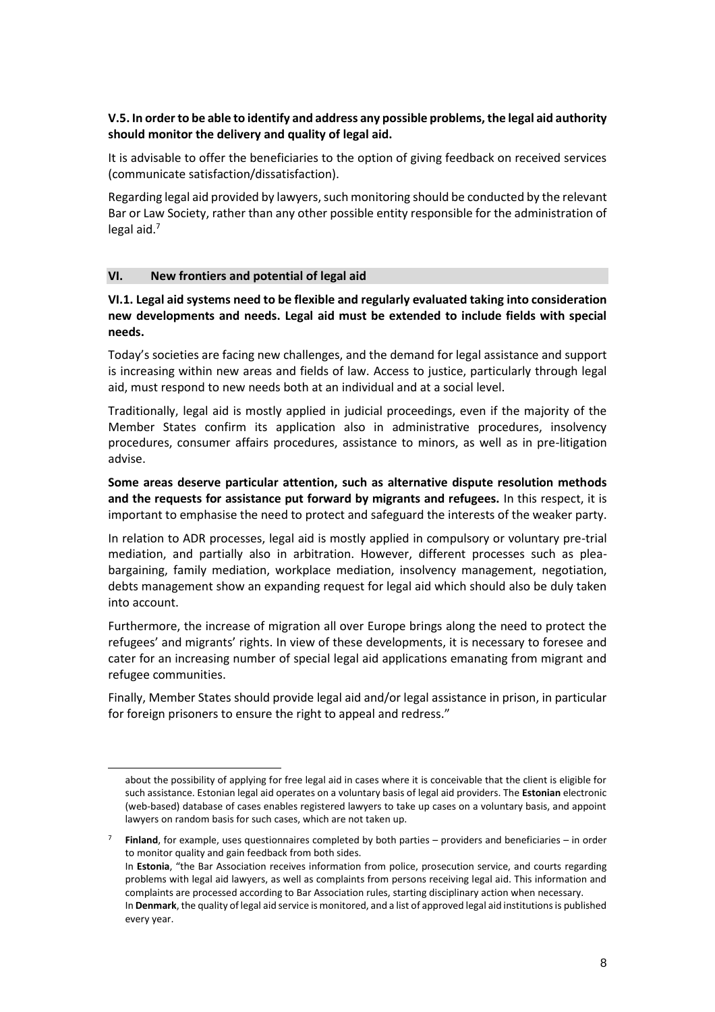#### **V.5. In order to be able to identify and address any possible problems, the legal aid authority should monitor the delivery and quality of legal aid.**

It is advisable to offer the beneficiaries to the option of giving feedback on received services (communicate satisfaction/dissatisfaction).

Regarding legal aid provided by lawyers, such monitoring should be conducted by the relevant Bar or Law Society, rather than any other possible entity responsible for the administration of legal aid. $<sup>7</sup>$ </sup>

#### <span id="page-7-0"></span>**VI. New frontiers and potential of legal aid**

l

**VI.1. Legal aid systems need to be flexible and regularly evaluated taking into consideration new developments and needs. Legal aid must be extended to include fields with special needs.**

Today's societies are facing new challenges, and the demand for legal assistance and support is increasing within new areas and fields of law. Access to justice, particularly through legal aid, must respond to new needs both at an individual and at a social level.

Traditionally, legal aid is mostly applied in judicial proceedings, even if the majority of the Member States confirm its application also in administrative procedures, insolvency procedures, consumer affairs procedures, assistance to minors, as well as in pre-litigation advise.

**Some areas deserve particular attention, such as alternative dispute resolution methods and the requests for assistance put forward by migrants and refugees.** In this respect, it is important to emphasise the need to protect and safeguard the interests of the weaker party.

In relation to ADR processes, legal aid is mostly applied in compulsory or voluntary pre-trial mediation, and partially also in arbitration. However, different processes such as pleabargaining, family mediation, workplace mediation, insolvency management, negotiation, debts management show an expanding request for legal aid which should also be duly taken into account.

Furthermore, the increase of migration all over Europe brings along the need to protect the refugees' and migrants' rights. In view of these developments, it is necessary to foresee and cater for an increasing number of special legal aid applications emanating from migrant and refugee communities.

Finally, Member States should provide legal aid and/or legal assistance in prison, in particular for foreign prisoners to ensure the right to appeal and redress."

about the possibility of applying for free legal aid in cases where it is conceivable that the client is eligible for such assistance. Estonian legal aid operates on a voluntary basis of legal aid providers. The **Estonian** electronic (web-based) database of cases enables registered lawyers to take up cases on a voluntary basis, and appoint lawyers on random basis for such cases, which are not taken up.

<sup>7</sup> **Finland**, for example, uses questionnaires completed by both parties – providers and beneficiaries – in order to monitor quality and gain feedback from both sides. In **Estonia**, "the Bar Association receives information from police, prosecution service, and courts regarding problems with legal aid lawyers, as well as complaints from persons receiving legal aid. This information and complaints are processed according to Bar Association rules, starting disciplinary action when necessary. In **Denmark**, the quality of legal aid service is monitored, and a list of approved legal aid institutions is published every year.